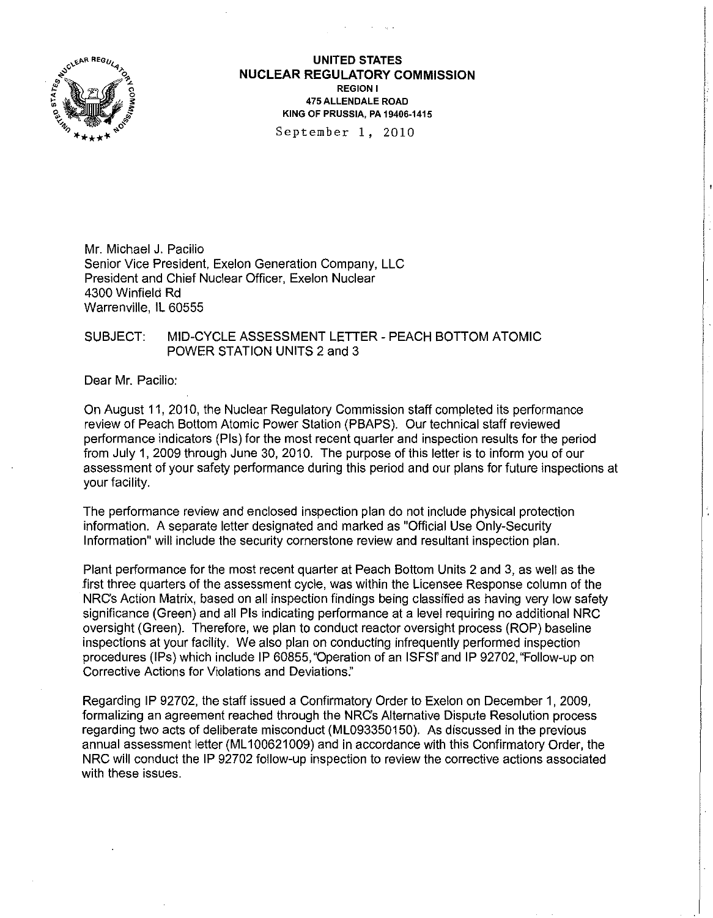

**UNITED STATES NUCLEAR REGULATORY COMMISSION**  REGION I 475 ALLENDALE ROAD KING OF PRUSSIA, PA 19406-1415

September 1, 2010

Mr. Michael J. Pacilio Senior Vice President, Exelon Generation Company, LLC President and Chief Nuclear Officer, Exelon Nuclear 4300 Winfield Rd Warrenville, **IL** 60555

### SUBJECT: MID-CYCLE ASSESSMENT LETTER - PEACH BOTTOM ATOMIC POWER STATION UNITS 2 and 3

Dear Mr. Pacilio:

On August 11, 2010, the Nuclear Regulatory Commission staff completed its performance review of Peach Bottom Atomic Power Station (PBAPS). Our technical staff reviewed performance indicators (Pis) for the most recent quarter and inspection results for the period from July 1, 2009 through June 30, 2010. The purpose of this letter is to inform you of our assessment of your safety performance during this period and our plans for future inspections at your facility.

The performance review and enclosed inspection plan do not include physical protection information. A separate letter designated and marked as "Official Use Only-Security Information" will include the security cornerstone review and resultant inspection plan.

Plant performance for the most recent quarter at Peach Bottom Units 2 and 3, as well as the first three quarters of the assessment cycle, was within the Licensee Response column of the NRCs Action Matrix, based on all inspection findings being classified as having very low safety significance (Green) and all Pis indicating performance at a level requiring no additional NRC oversight (Green). Therefore, we plan to conduct reactor oversight process (ROP) baseline inspections at your facility. We also plan on conducting infrequently performed inspection procedures (IPs) which include IP 60855, "Operation of an ISFSf' and IP 92702, "Follow-up on Corrective Actions for Violations and Deviations:'

Regarding IP 92702, the staff issued a Confirmatory Order to Exelon on December 1, 2009, formalizing an agreement reached through the NRCs Alternative Dispute Resolution process regarding two acts of deliberate misconduct (ML093350150). As discussed in the previous annual assessment letter (ML 100621009) and in accordance with this Confirmatory Order, the NRC will conduct the IP 92702 follow-up inspection to review the corrective actions associated with these issues.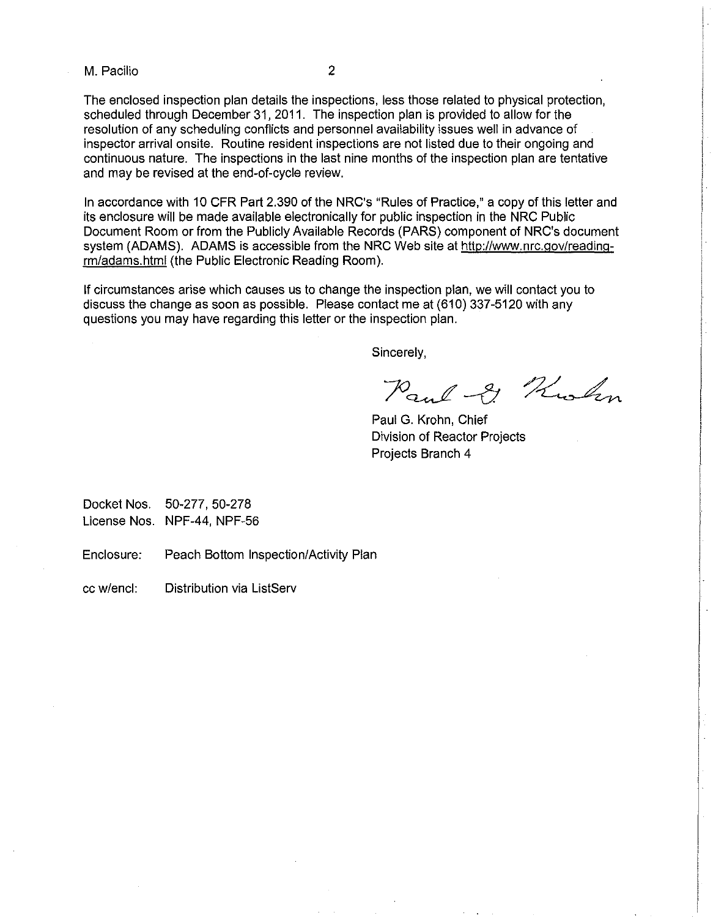M. Pacilio 2

The enclosed inspection plan details the inspections, less those related to physical protection, scheduled through December 31, 2011. The inspection plan is provided to allow for the resolution of any scheduling conflicts and personnel availability issues well in advance of inspector arrival onsite. Routine resident inspections are not listed due to their ongoing and continuous nature. The inspections in the last nine months of the inspection plan are tentative and may be revised at the end-of-cycle review.

In accordance with 10 CFR Part 2.390 of the NRC's "Rules of Practice," a copy of this letter and its enclosure will be made available electronically for public inspection in the NRC Public Document Room or from the Publicly Available Records (PARS) component of NRC's document system (ADAMS). ADAMS is accessible from the NRC Web site at http://www.nrc.gov/readingrm/adams.html (the Public Electronic Reading Room).

If circumstances arise which causes us to change the inspection plan, we will contact you to discuss the change as soon as possible. Please contact me at (610) 337-5120 with any questions you may have regarding this letter or the inspection plan.

Sincerely,

Paul & Kolm

Paul G. Krohn, Chief Division of Reactor Projects Projects Branch 4

Docket Nos. 50-277, 50-278 License Nos. NPF-44, NPF-56

Enclosure: Peach Bottom Inspection/Activity Plan

cc w/encl: Distribution via listServ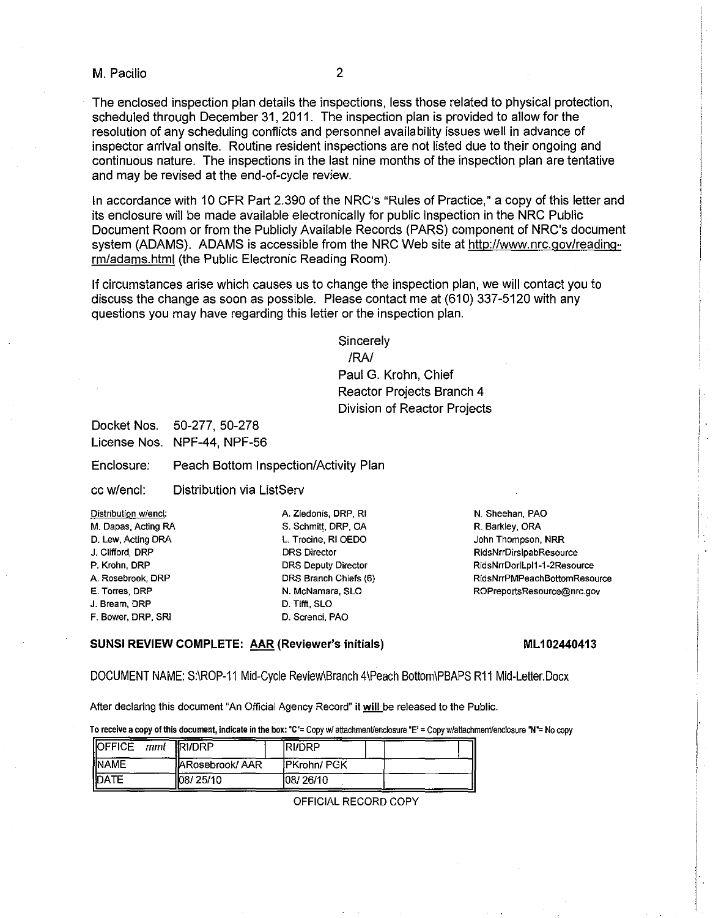#### M. Pacilio 2

The enclosed inspection plan details the inspections, less those related to physical protection,

scheduled through December 31, 2011. The inspection plan is provided to allow for the resolution of any scheduling conflicts and personnel availability issues well in advance of inspector arrival onsite. Routine resident inspections are not listed due to their ongoing and continuous nature. The inspections in the last nine months of the inspection plan are tentative and may be revised at the end-of-cycle review.

In accordance with 10 CFR Part 2.390 of the NRC's "Rules of Practice," a copy of this letter and its enclosure will be made available electronically for public inspection in the NRC Public Document Room or from the Publicly Available Records (PARS) component of NRC's document system (ADAMS). ADAMS is accessible from the NRC Web site at http://www.nrc.gov/readingrm/adams.html (the Public Electronic Reading Room).

If circumstances arise which causes us to change the inspection plan, we will contact you to discuss the change as soon as possible. Please contact me at (610) 337-5120 with any questions you may have regarding this letter or the inspection plan.

> **Sincerely** /RN Paul G. Krohn, Chief Reactor Projects Branch 4 Division of Reactor Projects

Docket Nos. 50-277, 50-278 License Nos. NPF-44, NPF-56

Enclosure: Peach Bottom Inspection/Activity Plan

cc w/encl: Distribution via ListServ

| Distribution w/encl: |
|----------------------|
| M. Dapas, Acting RA  |
| D. Lew, Acting DRA   |
| J. Clifford, DRP     |
| P. Krohn, DRP        |
| A. Rosebrook, DRP    |
| E. Torres, DRP       |
| J. Bream, DRP        |
| F. Bower, DRP, SRI   |

A. Ziedonis, DRP, RI S. Schmitt. DRP, OA L. Trocine, RI OEDO DRS Director DRS Deputy Director DRS Branch Chiefs (6) N. McNamara, SLO D. Tifft, SLO D. Screnci, PAD

N. Sheehan, PAO R. Barkley, ORA John Thompson, NRR RidsNrrDirslpabResource RidsNrrDorILpI1-1-2Resource RidsNrrPMPeachBottomResource ROPreportsResource@nrc.gov

#### SUNSI REVIEW COMPLETE: AAR (Reviewer's initials)

#### ML 102440413

DOCUMENT NAME: S:\ROP-11 Mid-Cycle Review\Branch 4\Peach Bottom\PBAPS R11 Mid-Letter.Docx

After declaring this document "An Official Agency Record" it will be released to the Public.

To receive a copy of this document, indicate in the box: "C"= Copy w/ attachment/enclosure "E' = Copy w/attachment/enclosure "N"= No copy

| <b>OFFICE</b> mmt <b>RI/DRP</b> |                         | <b>IRI/DRP</b>     |  |
|---------------------------------|-------------------------|--------------------|--|
| <b>INAME</b>                    | <b>JARosebrook/ AAR</b> | <b>IPKrohn/PGK</b> |  |
| <b>IDATE</b>                    | 108/25/10               | 108/26/10          |  |

OFFICIAL RECORD COPY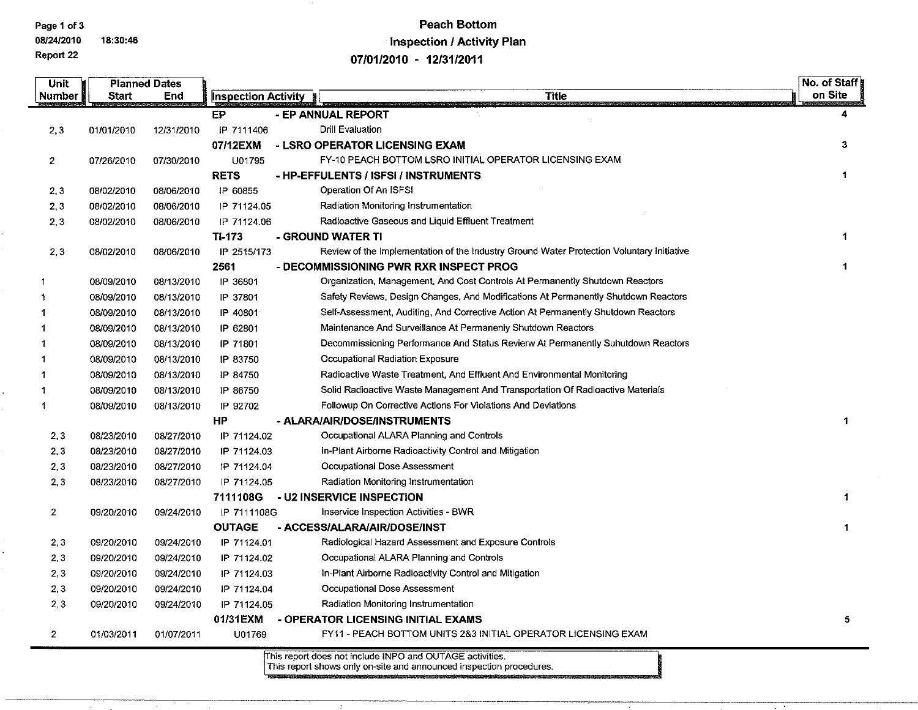# Page 1 of 3 Peach Bottom 08/24/2010 18:30:46 Inspection / Activity Plan<br>Report 22 07/04/2010 07/04/2010 07/04/2014

07/01/2010 - 12/31/2011

| Unit           |            | <b>Planned Dates</b> |                            |                                                                                           | No. of Staff |
|----------------|------------|----------------------|----------------------------|-------------------------------------------------------------------------------------------|--------------|
| Number         | Start      | End                  | <b>Inspection Activity</b> | <b>Title</b>                                                                              | on Site      |
|                |            |                      | EP.                        | - EP ANNUAL REPORT                                                                        | 4            |
| 2,3            | 01/01/2010 | 12/31/2010           | IP 7111406                 | Drill Evaluation                                                                          |              |
|                |            |                      | 07/12EXM                   | - LSRO OPERATOR LICENSING EXAM                                                            | 3            |
| $\mathbf{2}$   | 07/26/2010 | 07/30/2010           | U01795                     | FY-10 PEACH BOTTOM LSRO INITIAL OPERATOR LICENSING EXAM                                   |              |
|                |            |                      | <b>RETS</b>                | - HP-EFFULENTS / ISFSI / INSTRUMENTS                                                      | $\mathbf 1$  |
| 2,3            | 08/02/2010 | 08/06/2010           | IP 60855                   | Operation Of An ISFSI                                                                     |              |
| 2,3            | 08/02/2010 | 08/06/2010           | IP 71124.05                | Radiation Monitoring Instrumentation                                                      |              |
| 2,3            | 08/02/2010 | 08/06/2010           | IP 71124.06                | Radioactive Gaseous and Liquid Effluent Treatment                                         |              |
|                |            |                      | TI-173                     | - GROUND WATER TI                                                                         |              |
| 2,3            | 08/02/2010 | 08/06/2010           | IP 2515/173                | Review of the Implementation of the Industry Ground Water Protection Voluntary Initiative |              |
|                |            |                      | 2561                       | - DECOMMISSIONING PWR RXR INSPECT PROG                                                    |              |
|                | 08/09/2010 | 08/13/2010           | IP 36801                   | Organization, Management, And Cost Controls At Permanently Shutdown Reactors              |              |
|                | 08/09/2010 | 08/13/2010           | IP 37801                   | Safety Reviews, Design Changes, And Modifications At Permanently Shutdown Reactors        |              |
|                | 08/09/2010 | 08/13/2010           | IP 40801                   | Self-Assessment, Auditing, And Corrective Action At Permanently Shutdown Reactors         |              |
|                | 08/09/2010 | 08/13/2010           | IP 62801                   | Maintenance And Surveillance At Permanenly Shutdown Reactors                              |              |
|                | 08/09/2010 | 08/13/2010           | IP 71801                   | Decommissioning Performance And Status Revierw At Permanently Suhutdown Reactors          |              |
| -1             | 08/09/2010 | 08/13/2010           | IP 83750                   | Occupational Radiation Exposure                                                           |              |
|                | 08/09/2010 | 08/13/2010           | IP 84750                   | Radioactive Waste Treatment, And Effluent And Environmental Monitoring                    |              |
| -1             | 08/09/2010 | 08/13/2010           | IP 86750                   | Solid Radioactive Waste Management And Transportation Of Radioactive Materials            |              |
| -1             | 08/09/2010 | 08/13/2010           | IP 92702                   | Followup On Corrective Actions For Violations And Deviations                              |              |
|                |            |                      | ΗP                         | - ALARA/AIR/DOSE/INSTRUMENTS                                                              | 1            |
| 2,3            | 08/23/2010 | 08/27/2010           | IP 71124.02                | Occupational ALARA Planning and Controls                                                  |              |
| 2,3            | 08/23/2010 | 08/27/2010           | IP 71124.03                | In-Plant Airborne Radioactivity Control and Mitigation                                    |              |
| 2,3            | 08/23/2010 | 08/27/2010           | IP 71124.04                | Occupational Dose Assessment                                                              |              |
| 2,3            | 08/23/2010 | 08/27/2010           | IP 71124.05                | Radiation Monitoring Instrumentation                                                      |              |
|                |            |                      | 7111108G                   | - U2 INSERVICE INSPECTION                                                                 | $\mathbf{1}$ |
| $\overline{2}$ | 09/20/2010 | 09/24/2010           | IP 7111108G                | Inservice Inspection Activities - BWR                                                     |              |
|                |            |                      | <b>OUTAGE</b>              | - ACCESS/ALARA/AIR/DOSE/INST                                                              | 1            |
| 2,3            | 09/20/2010 | 09/24/2010           | IP 71124.01                | Radiological Hazard Assessment and Exposure Controls                                      |              |
| 2,3            | 09/20/2010 | 09/24/2010           | IP 71124.02                | Occupational ALARA Planning and Controls                                                  |              |
| 2,3            | 09/20/2010 | 09/24/2010           | IP 71124.03                | In-Plant Airborne Radioactivity Control and Mitigation                                    |              |
| 2,3            | 09/20/2010 | 09/24/2010           | IP 71124.04                | Occupational Dose Assessment                                                              |              |
| 2,3            | 09/20/2010 | 09/24/2010           | IP 71124.05                | Radiation Monitoring Instrumentation                                                      |              |
|                |            |                      | 01/31EXM                   | - OPERATOR LICENSING INITIAL EXAMS                                                        | 5            |
| $\overline{2}$ | 01/03/2011 | 01/07/2011           | U01769                     | FY11 - PEACH BOTTOM UNITS 2&3 INITIAL OPERATOR LICENSING EXAM                             |              |
|                |            |                      |                            | This report does not include INPO and OUTAGE activities.                                  |              |

This report shows only on-site and announced inspection procedures.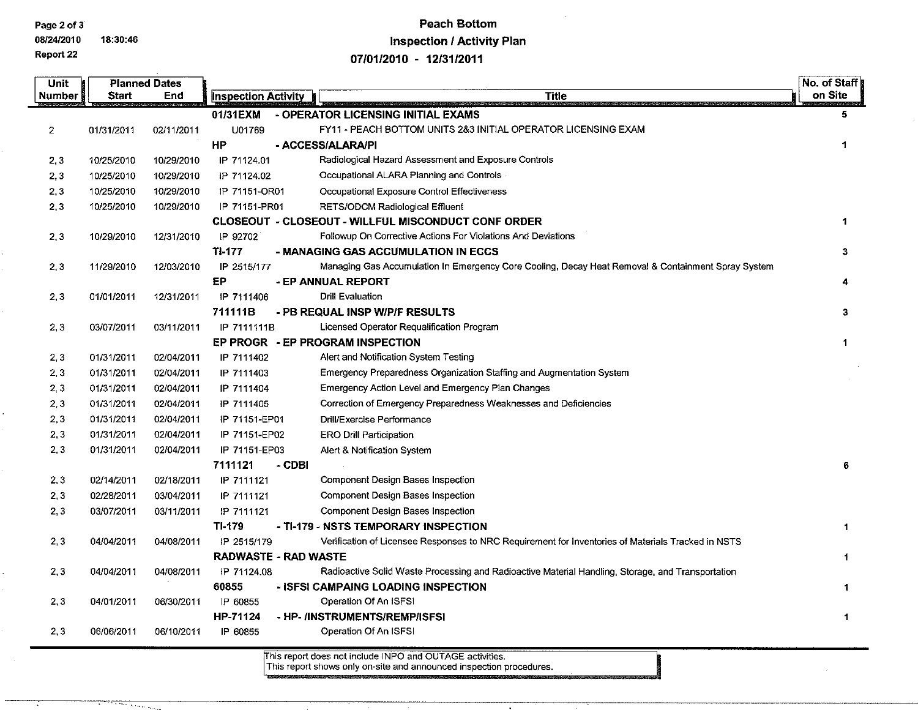Page 2 of 3

Report 22

08/24/2010 18:30:46

 $\ddot{\phantom{a}}$ 

.... <sup>~</sup>

## Peach Bottom Inspection / Activity Plan

*07/01/2010* - *12/3112011* 

| <b>Unit</b>    |              | <b>Planned Dates</b> |                             |        |                                                                                                    | No. of Staff |
|----------------|--------------|----------------------|-----------------------------|--------|----------------------------------------------------------------------------------------------------|--------------|
| Number         | <b>Start</b> | End                  | <b>Inspection Activity</b>  |        | <b>Title</b>                                                                                       | on Site      |
|                |              |                      | 01/31EXM                    |        | - OPERATOR LICENSING INITIAL EXAMS                                                                 | 5.           |
| $\overline{2}$ | 01/31/2011   | 02/11/2011           | U01769                      |        | FY11 - PEACH BOTTOM UNITS 2&3 INITIAL OPERATOR LICENSING EXAM                                      |              |
|                |              |                      | HP                          |        | - ACCESS/ALARA/PI                                                                                  | $\mathbf{1}$ |
| 2,3            | 10/25/2010   | 10/29/2010           | IP 71124.01                 |        | Radiological Hazard Assessment and Exposure Controls                                               |              |
| 2,3            | 10/25/2010   | 10/29/2010           | IP 71124.02                 |        | Occupational ALARA Planning and Controls                                                           |              |
| 2,3            | 10/25/2010   | 10/29/2010           | IP 71151-OR01               |        | Occupational Exposure Control Effectiveness                                                        |              |
| 2,3            | 10/25/2010   | 10/29/2010           | IP 71151-PR01               |        | RETS/ODCM Radiological Effluent                                                                    |              |
|                |              |                      |                             |        | <b>CLOSEOUT - CLOSEOUT - WILLFUL MISCONDUCT CONF ORDER</b>                                         | $\mathbf{1}$ |
| 2,3            | 10/29/2010   | 12/31/2010           | IP 92702                    |        | Followup On Corrective Actions For Violations And Deviations                                       |              |
|                |              |                      | TI-177                      |        | - MANAGING GAS ACCUMULATION IN ECCS                                                                | 3            |
| 2,3            | 11/29/2010   | 12/03/2010           | IP 2515/177                 |        | Managing Gas Accumulation In Emergency Core Cooling, Decay Heat Removal & Containment Spray System |              |
|                |              |                      | EP.                         |        | - EP ANNUAL REPORT                                                                                 | 4            |
| 2,3            | 01/01/2011   | 12/31/2011           | IP 7111406                  |        | <b>Drill Evaluation</b>                                                                            |              |
|                |              |                      | 711111B                     |        | - PB REQUAL INSP W/P/F RESULTS                                                                     | 3            |
| 2,3            | 03/07/2011   | 03/11/2011           | IP 7111111B                 |        | Licensed Operator Requalification Program                                                          |              |
|                |              |                      |                             |        | EP PROGR - EP PROGRAM INSPECTION                                                                   | $\mathbf 1$  |
| 2,3            | 01/31/2011   | 02/04/2011           | IP 7111402                  |        | Alert and Notification System Testing                                                              |              |
| 2,3            | 01/31/2011   | 02/04/2011           | IP 7111403                  |        | Emergency Preparedness Organization Staffing and Augmentation System                               |              |
| 2, 3           | 01/31/2011   | 02/04/2011           | IP 7111404                  |        | Emergency Action Level and Emergency Plan Changes                                                  |              |
| 2,3            | 01/31/2011   | 02/04/2011           | IP 7111405                  |        | Correction of Emergency Preparedness Weaknesses and Deficiencies                                   |              |
| 2,3            | 01/31/2011   | 02/04/2011           | IP 71151-EP01               |        | Drill/Exercise Performance                                                                         |              |
| 2,3            | 01/31/2011   | 02/04/2011           | IP 71151-EP02               |        | <b>ERO Drill Participation</b>                                                                     |              |
| 2,3            | 01/31/2011   | 02/04/2011           | IP 71151-EP03               |        | Alert & Notification System                                                                        |              |
|                |              |                      | 7111121                     | - CDBI |                                                                                                    | 6            |
| 2,3            | 02/14/2011   | 02/18/2011           | IP 7111121                  |        | Component Design Bases Inspection                                                                  |              |
| 2,3            | 02/28/2011   | 03/04/2011           | IP 7111121                  |        | Component Design Bases Inspection                                                                  |              |
| 2,3            | 03/07/2011   | 03/11/2011           | IP 7111121                  |        | Component Design Bases Inspection                                                                  |              |
|                |              |                      | TI 179                      |        | - TI-179 - NSTS TEMPORARY INSPECTION                                                               | $\mathbf{1}$ |
| 2,3            | 04/04/2011   | 04/08/2011           | IP 2515/179                 |        | Verification of Licensee Responses to NRC Requirement for Inventories of Materials Tracked in NSTS |              |
|                |              |                      | <b>RADWASTE - RAD WASTE</b> |        |                                                                                                    | 1            |
| 2,3            | 04/04/2011   | 04/08/2011           | IP 71124.08                 |        | Radioactive Solid Waste Processing and Radioactive Material Handling, Storage, and Transportation  |              |
|                |              |                      | 60855                       |        | - ISFSI CAMPAING LOADING INSPECTION                                                                | 1            |
| 2,3            | 04/01/2011   | 06/30/2011           | IP 60855                    |        | Operation Of An ISFSI                                                                              |              |
|                |              |                      | HP-71124                    |        | - HP- /INSTRUMENTS/REMP/ISFSI                                                                      | $\mathbf{1}$ |
| 2,3            | 06/06/2011   | 06/10/2011           | IP 60855                    |        | Operation Of An ISFSI                                                                              |              |

'his report does not include INPO and OUTAGE activities. This report shows only on-site and announced inspection procedures .